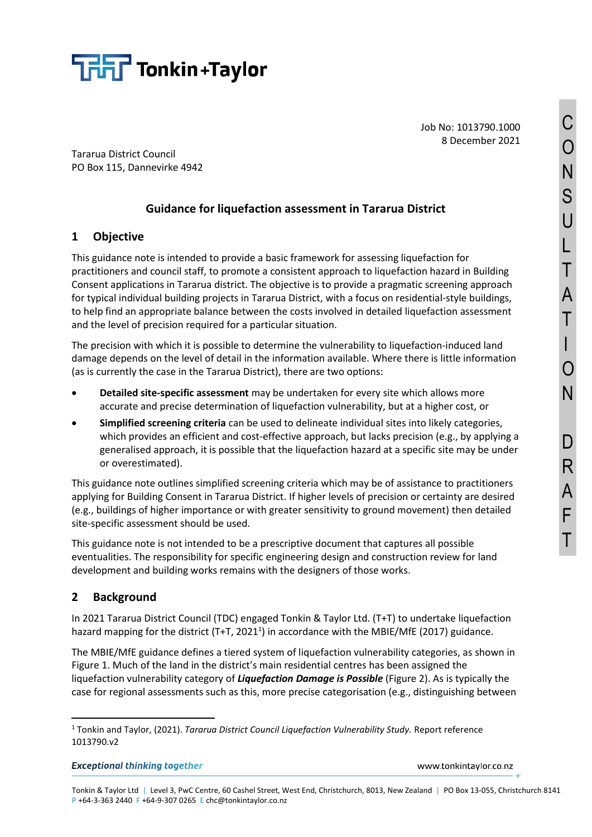

Job No: 1013790.1000 8 December 2021

Tararua District Council PO Box 115, Dannevirke 4942

# **Guidance for liquefaction assessment in Tararua District**

# **1 Objective**

This guidance note is intended to provide a basic framework for assessing liquefaction for practitioners and council staff, to promote a consistent approach to liquefaction hazard in Building Consent applications in Tararua district. The objective is to provide a pragmatic screening approach for typical individual building projects in Tararua District, with a focus on residential-style buildings, to help find an appropriate balance between the costs involved in detailed liquefaction assessment and the level of precision required for a particular situation.

The precision with which it is possible to determine the vulnerability to liquefaction-induced land damage depends on the level of detail in the information available. Where there is little information (as is currently the case in the Tararua District), there are two options:

- **Detailed site-specific assessment** may be undertaken for every site which allows more accurate and precise determination of liquefaction vulnerability, but at a higher cost, or
- **Simplified screening criteria** can be used to delineate individual sites into likely categories, which provides an efficient and cost-effective approach, but lacks precision (e.g., by applying a generalised approach, it is possible that the liquefaction hazard at a specific site may be under or overestimated).

This guidance note outlines simplified screening criteria which may be of assistance to practitioners applying for Building Consent in Tararua District. If higher levels of precision or certainty are desired (e.g., buildings of higher importance or with greater sensitivity to ground movement) then detailed site-specific assessment should be used.

This guidance note is not intended to be a prescriptive document that captures all possible eventualities. The responsibility for specific engineering design and construction review for land development and building works remains with the designers of those works.

## **2 Background**

In 2021 Tararua District Council (TDC) engaged Tonkin & Taylor Ltd. (T+T) to undertake liquefaction hazard mapping for the district (T+T, 2021<sup>1</sup>) in accordance with the MBIE/MfE (2017) guidance.

The MBIE/MfE guidance defines a tiered system of liquefaction vulnerability categories, as shown in [Figure 1](#page-1-0). Much of the land in the district's main residential centres has been assigned the liquefaction vulnerability category of *Liquefaction Damage is Possible* [\(Figure 2\)](#page-1-1). As is typically the case for regional assessments such as this, more precise categorisation (e.g., distinguishing between

**Exceptional thinking together** 

www.tonkintaylor.co.nz

<sup>1</sup> Tonkin and Taylor, (2021). *Tararua District Council Liquefaction Vulnerability Study.* Report reference 1013790.v2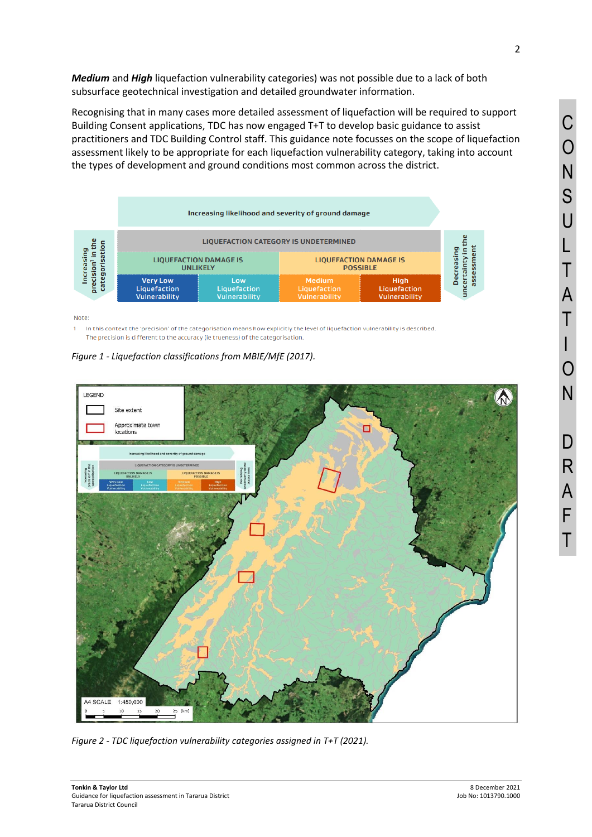*Medium* and *High* liquefaction vulnerability categories) was not possible due to a lack of both subsurface geotechnical investigation and detailed groundwater information.

Recognising that in many cases more detailed assessment of liquefaction will be required to support Building Consent applications, TDC has now engaged T+T to develop basic guidance to assist practitioners and TDC Building Control staff. This guidance note focusses on the scope of liquefaction assessment likely to be appropriate for each liquefaction vulnerability category, taking into account the types of development and ground conditions most common across the district.

|                     | Increasing likelihood and severity of ground damage |                                      |                                                  |                                              |   |
|---------------------|-----------------------------------------------------|--------------------------------------|--------------------------------------------------|----------------------------------------------|---|
| ה<br>cate<br>α<br>튒 | <b>LIQUEFACTION CATEGORY IS UNDETERMINED</b>        |                                      |                                                  |                                              |   |
|                     | <b>LIQUEFACTION DAMAGE IS</b><br><b>UNLIKELY</b>    |                                      | <b>LIQUEFACTION DAMAGE IS</b><br><b>POSSIBLE</b> |                                              |   |
|                     | <b>Very Low</b><br>Liquefaction<br>Vulnerability    | Low<br>Liquefaction<br>Vulnerability | <b>Medium</b><br>Liquefaction<br>Vulnerability   | <b>High</b><br>Liquefaction<br>Vulnerability | o |

Note:

In this context the 'precision' of the categorisation means how explicitly the level of liquefaction vulnerability is described.  $\mathbf{1}$ The precision is different to the accuracy (ie trueness) of the categorisation.

<span id="page-1-0"></span>



<span id="page-1-1"></span>*Figure 2 - TDC liquefaction vulnerability categories assigned in T+T (2021).*

I

C

O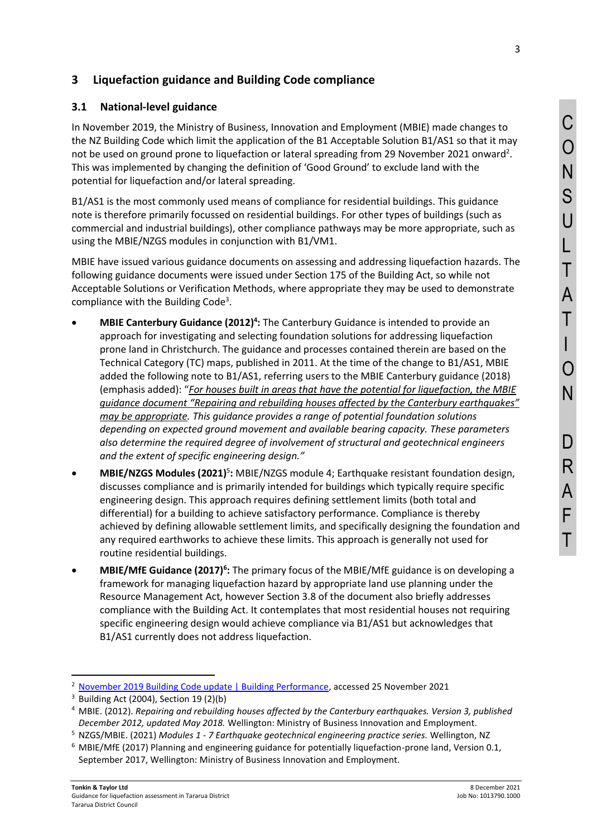## **3 Liquefaction guidance and Building Code compliance**

#### **3.1 National-level guidance**

In November 2019, the Ministry of Business, Innovation and Employment (MBIE) made changes to the NZ Building Code which limit the application of the B1 Acceptable Solution B1/AS1 so that it may not be used on ground prone to liquefaction or lateral spreading from 29 November 2021 onward<sup>2</sup>. This was implemented by changing the definition of 'Good Ground' to exclude land with the potential for liquefaction and/or lateral spreading.

B1/AS1 is the most commonly used means of compliance for residential buildings. This guidance note is therefore primarily focussed on residential buildings. For other types of buildings (such as commercial and industrial buildings), other compliance pathways may be more appropriate, such as using the MBIE/NZGS modules in conjunction with B1/VM1.

MBIE have issued various guidance documents on assessing and addressing liquefaction hazards. The following guidance documents were issued under Section 175 of the Building Act, so while not Acceptable Solutions or Verification Methods, where appropriate they may be used to demonstrate compliance with the Building Code<sup>3</sup>.

- MBIE Canterbury Guidance (2012)<sup>4</sup>: The Canterbury Guidance is intended to provide an approach for investigating and selecting foundation solutions for addressing liquefaction prone land in Christchurch. The guidance and processes contained therein are based on the Technical Category (TC) maps, published in 2011. At the time of the change to B1/AS1, MBIE added the following note to B1/AS1, referring users to the MBIE Canterbury guidance (2018) (emphasis added): "*For houses built in areas that have the potential for liquefaction, the MBIE guidance document "Repairing and rebuilding houses affected by the Canterbury earthquakes" may be appropriate. This guidance provides a range of potential foundation solutions depending on expected ground movement and available bearing capacity. These parameters also determine the required degree of involvement of structural and geotechnical engineers and the extent of specific engineering design."*
- MBIE/NZGS Modules (2021)<sup>5</sup>: MBIE/NZGS module 4; Earthquake resistant foundation design, discusses compliance and is primarily intended for buildings which typically require specific engineering design. This approach requires defining settlement limits (both total and differential) for a building to achieve satisfactory performance. Compliance is thereby achieved by defining allowable settlement limits, and specifically designing the foundation and any required earthworks to achieve these limits. This approach is generally not used for routine residential buildings.
- **MBIE/MfE Guidance (2017)<sup>6</sup>:** The primary focus of the MBIE/MfE guidance is on developing a framework for managing liquefaction hazard by appropriate land use planning under the Resource Management Act, however Section 3.8 of the document also briefly addresses compliance with the Building Act. It contemplates that most residential houses not requiring specific engineering design would achieve compliance via B1/AS1 but acknowledges that B1/AS1 currently does not address liquefaction.

<sup>&</sup>lt;sup>2</sup> [November 2019 Building Code update | Building Performance,](https://www.building.govt.nz/building-code-compliance/annual-building-code-updates/november-2019-building-code-update/) accessed 25 November 2021

 $3$  Building Act (2004), Section 19 (2)(b)

<sup>4</sup> MBIE. (2012). *Repairing and rebuilding houses affected by the Canterbury earthquakes. Version 3, published December 2012, updated May 2018.* Wellington: Ministry of Business Innovation and Employment.

<sup>5</sup> NZGS/MBIE. (2021) *Modules 1 - 7 Earthquake geotechnical engineering practice series.* Wellington, NZ

<sup>6</sup> MBIE/MfE (2017) Planning and engineering guidance for potentially liquefaction-prone land, Version 0.1, September 2017, Wellington: Ministry of Business Innovation and Employment.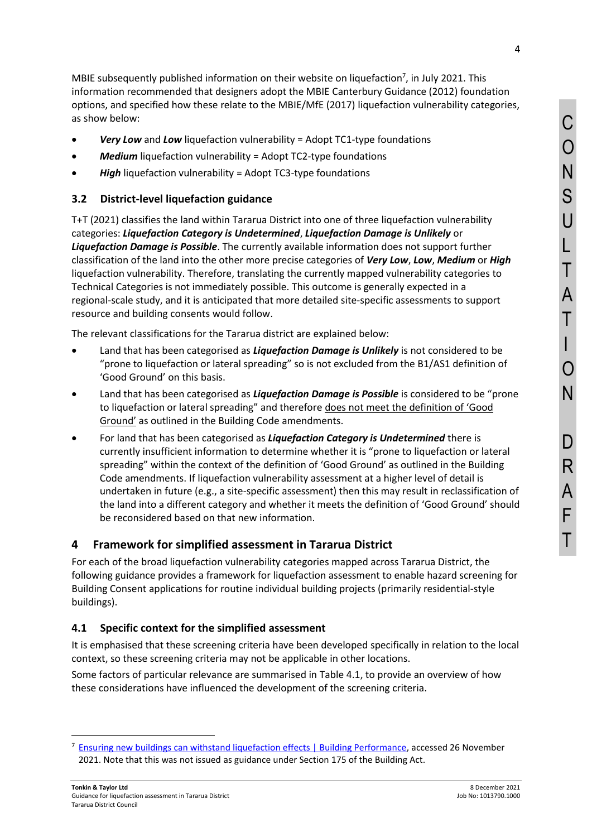MBIE subsequently published information on their website on liquefaction $^7$ , in July 2021. This information recommended that designers adopt the MBIE Canterbury Guidance (2012) foundation options, and specified how these relate to the MBIE/MfE (2017) liquefaction vulnerability categories, as show below:

- *Very Low* and *Low* liquefaction vulnerability = Adopt TC1-type foundations
- *Medium* liquefaction vulnerability = Adopt TC2-type foundations
- *High* liquefaction vulnerability = Adopt TC3-type foundations

### **3.2 District-level liquefaction guidance**

T+T (2021) classifies the land within Tararua District into one of three liquefaction vulnerability categories: *Liquefaction Category is Undetermined*, *Liquefaction Damage is Unlikely* or *Liquefaction Damage is Possible*. The currently available information does not support further classification of the land into the other more precise categories of *Very Low*, *Low*, *Medium* or *High* liquefaction vulnerability. Therefore, translating the currently mapped vulnerability categories to Technical Categories is not immediately possible. This outcome is generally expected in a regional-scale study, and it is anticipated that more detailed site-specific assessments to support resource and building consents would follow.

The relevant classifications for the Tararua district are explained below:

- Land that has been categorised as *Liquefaction Damage is Unlikely* is not considered to be "prone to liquefaction or lateral spreading" so is not excluded from the B1/AS1 definition of 'Good Ground' on this basis.
- Land that has been categorised as *Liquefaction Damage is Possible* is considered to be "prone to liquefaction or lateral spreading" and therefore does not meet the definition of 'Good Ground' as outlined in the Building Code amendments.
- For land that has been categorised as *Liquefaction Category is Undetermined* there is currently insufficient information to determine whether it is "prone to liquefaction or lateral spreading" within the context of the definition of 'Good Ground' as outlined in the Building Code amendments. If liquefaction vulnerability assessment at a higher level of detail is undertaken in future (e.g., a site-specific assessment) then this may result in reclassification of the land into a different category and whether it meets the definition of 'Good Ground' should be reconsidered based on that new information.

## **4 Framework for simplified assessment in Tararua District**

For each of the broad liquefaction vulnerability categories mapped across Tararua District, the following guidance provides a framework for liquefaction assessment to enable hazard screening for Building Consent applications for routine individual building projects (primarily residential-style buildings).

#### <span id="page-3-0"></span>**4.1 Specific context for the simplified assessment**

It is emphasised that these screening criteria have been developed specifically in relation to the local context, so these screening criteria may not be applicable in other locations.

Some factors of particular relevance are summarised in [Table 4.1,](#page-4-0) to provide an overview of how these considerations have influenced the development of the screening criteria.

<sup>7</sup> [Ensuring new buildings can withstand liquefaction effects | Building Performance,](https://www.building.govt.nz/building-code-compliance/geotechnical-education/ensuring-new-buildings-can-withstand-liquefaction-risks/#jumpto-changes-to-foundation-design) accessed 26 November 2021. Note that this was not issued as guidance under Section 175 of the Building Act.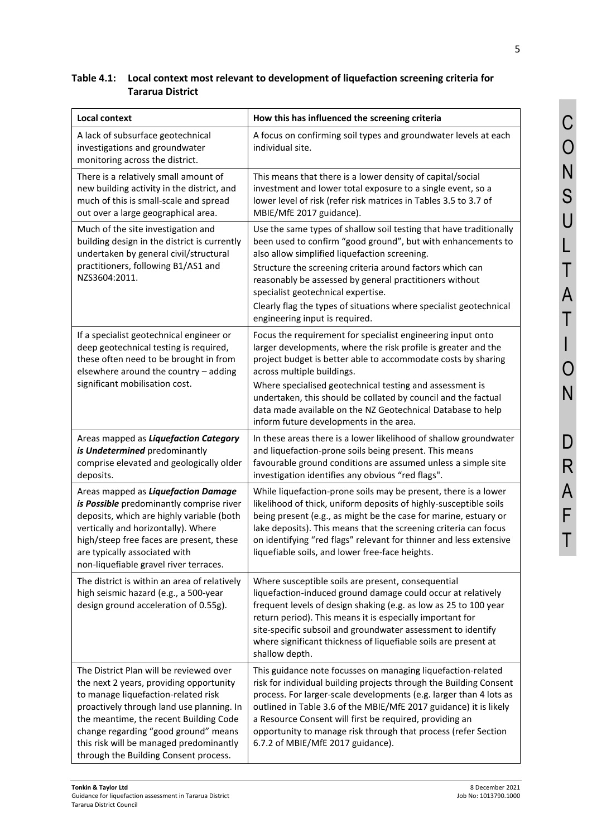# <span id="page-4-0"></span>**Table 4.1: Local context most relevant to development of liquefaction screening criteria for Tararua District**

| <b>Local context</b>                                                                                                                                                                                                                                                                                                                         | How this has influenced the screening criteria                                                                                                                                                                                                                                                                                                                                                                                                                       |  |  |
|----------------------------------------------------------------------------------------------------------------------------------------------------------------------------------------------------------------------------------------------------------------------------------------------------------------------------------------------|----------------------------------------------------------------------------------------------------------------------------------------------------------------------------------------------------------------------------------------------------------------------------------------------------------------------------------------------------------------------------------------------------------------------------------------------------------------------|--|--|
| A lack of subsurface geotechnical<br>investigations and groundwater<br>monitoring across the district.                                                                                                                                                                                                                                       | A focus on confirming soil types and groundwater levels at each<br>individual site.                                                                                                                                                                                                                                                                                                                                                                                  |  |  |
| There is a relatively small amount of<br>new building activity in the district, and<br>much of this is small-scale and spread<br>out over a large geographical area.                                                                                                                                                                         | This means that there is a lower density of capital/social<br>investment and lower total exposure to a single event, so a<br>lower level of risk (refer risk matrices in Tables 3.5 to 3.7 of<br>MBIE/MfE 2017 guidance).                                                                                                                                                                                                                                            |  |  |
| Much of the site investigation and<br>building design in the district is currently<br>undertaken by general civil/structural<br>practitioners, following B1/AS1 and<br>NZS3604:2011.                                                                                                                                                         | Use the same types of shallow soil testing that have traditionally<br>been used to confirm "good ground", but with enhancements to<br>also allow simplified liquefaction screening.<br>Structure the screening criteria around factors which can<br>reasonably be assessed by general practitioners without<br>specialist geotechnical expertise.<br>Clearly flag the types of situations where specialist geotechnical<br>engineering input is required.            |  |  |
| If a specialist geotechnical engineer or<br>deep geotechnical testing is required,<br>these often need to be brought in from<br>elsewhere around the country - adding<br>significant mobilisation cost.                                                                                                                                      | Focus the requirement for specialist engineering input onto<br>larger developments, where the risk profile is greater and the<br>project budget is better able to accommodate costs by sharing<br>across multiple buildings.<br>Where specialised geotechnical testing and assessment is<br>undertaken, this should be collated by council and the factual<br>data made available on the NZ Geotechnical Database to help<br>inform future developments in the area. |  |  |
| Areas mapped as Liquefaction Category<br>is Undetermined predominantly<br>comprise elevated and geologically older<br>deposits.                                                                                                                                                                                                              | In these areas there is a lower likelihood of shallow groundwater<br>and liquefaction-prone soils being present. This means<br>favourable ground conditions are assumed unless a simple site<br>investigation identifies any obvious "red flags".                                                                                                                                                                                                                    |  |  |
| Areas mapped as Liquefaction Damage<br>is Possible predominantly comprise river<br>deposits, which are highly variable (both<br>vertically and horizontally). Where<br>high/steep free faces are present, these<br>are typically associated with<br>non-liquefiable gravel river terraces.                                                   | While liquefaction-prone soils may be present, there is a lower<br>likelihood of thick, uniform deposits of highly-susceptible soils<br>being present (e.g., as might be the case for marine, estuary or<br>lake deposits). This means that the screening criteria can focus<br>on identifying "red flags" relevant for thinner and less extensive<br>liquefiable soils, and lower free-face heights.                                                                |  |  |
| The district is within an area of relatively<br>high seismic hazard (e.g., a 500-year<br>design ground acceleration of 0.55g).                                                                                                                                                                                                               | Where susceptible soils are present, consequential<br>liquefaction-induced ground damage could occur at relatively<br>frequent levels of design shaking (e.g. as low as 25 to 100 year<br>return period). This means it is especially important for<br>site-specific subsoil and groundwater assessment to identify<br>where significant thickness of liquefiable soils are present at<br>shallow depth.                                                             |  |  |
| The District Plan will be reviewed over<br>the next 2 years, providing opportunity<br>to manage liquefaction-related risk<br>proactively through land use planning. In<br>the meantime, the recent Building Code<br>change regarding "good ground" means<br>this risk will be managed predominantly<br>through the Building Consent process. | This guidance note focusses on managing liquefaction-related<br>risk for individual building projects through the Building Consent<br>process. For larger-scale developments (e.g. larger than 4 lots as<br>outlined in Table 3.6 of the MBIE/MfE 2017 guidance) it is likely<br>a Resource Consent will first be required, providing an<br>opportunity to manage risk through that process (refer Section<br>6.7.2 of MBIE/MfE 2017 guidance).                      |  |  |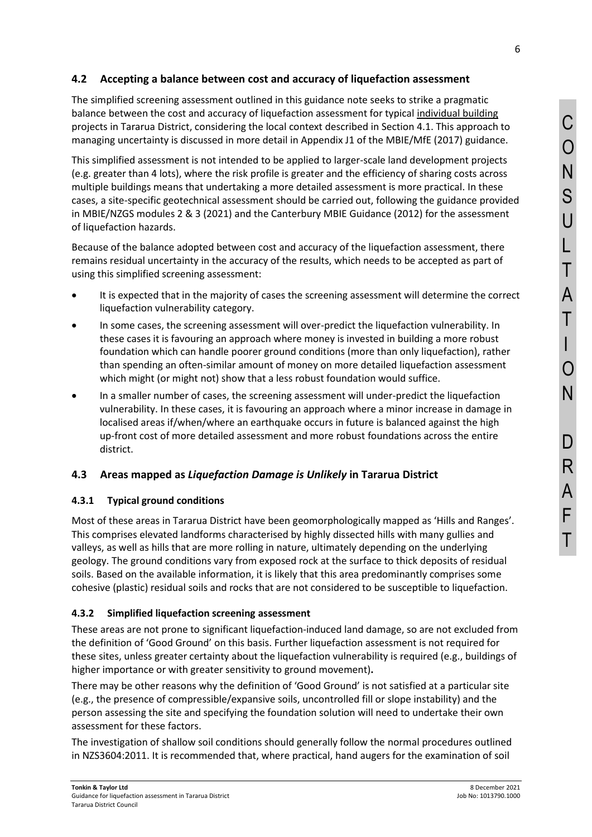#### <span id="page-5-1"></span>**4.2 Accepting a balance between cost and accuracy of liquefaction assessment**

The simplified screening assessment outlined in this guidance note seeks to strike a pragmatic balance between the cost and accuracy of liquefaction assessment for typical individual building projects in Tararua District, considering the local context described in Section [4.1.](#page-3-0) This approach to managing uncertainty is discussed in more detail in Appendix J1 of the MBIE/MfE (2017) guidance.

This simplified assessment is not intended to be applied to larger-scale land development projects (e.g. greater than 4 lots), where the risk profile is greater and the efficiency of sharing costs across multiple buildings means that undertaking a more detailed assessment is more practical. In these cases, a site-specific geotechnical assessment should be carried out, following the guidance provided in MBIE/NZGS modules 2 & 3 (2021) and the Canterbury MBIE Guidance (2012) for the assessment of liquefaction hazards.

Because of the balance adopted between cost and accuracy of the liquefaction assessment, there remains residual uncertainty in the accuracy of the results, which needs to be accepted as part of using this simplified screening assessment:

- It is expected that in the majority of cases the screening assessment will determine the correct liquefaction vulnerability category.
- In some cases, the screening assessment will over-predict the liquefaction vulnerability. In these cases it is favouring an approach where money is invested in building a more robust foundation which can handle poorer ground conditions (more than only liquefaction), rather than spending an often-similar amount of money on more detailed liquefaction assessment which might (or might not) show that a less robust foundation would suffice.
- In a smaller number of cases, the screening assessment will under-predict the liquefaction vulnerability. In these cases, it is favouring an approach where a minor increase in damage in localised areas if/when/where an earthquake occurs in future is balanced against the high up-front cost of more detailed assessment and more robust foundations across the entire district.

### <span id="page-5-0"></span>**4.3 Areas mapped as** *Liquefaction Damage is Unlikely* **in Tararua District**

#### **4.3.1 Typical ground conditions**

Most of these areas in Tararua District have been geomorphologically mapped as 'Hills and Ranges'. This comprises elevated landforms characterised by highly dissected hills with many gullies and valleys, as well as hills that are more rolling in nature, ultimately depending on the underlying geology. The ground conditions vary from exposed rock at the surface to thick deposits of residual soils. Based on the available information, it is likely that this area predominantly comprises some cohesive (plastic) residual soils and rocks that are not considered to be susceptible to liquefaction.

#### **4.3.2 Simplified liquefaction screening assessment**

These areas are not prone to significant liquefaction-induced land damage, so are not excluded from the definition of 'Good Ground' on this basis. Further liquefaction assessment is not required for these sites, unless greater certainty about the liquefaction vulnerability is required (e.g., buildings of higher importance or with greater sensitivity to ground movement)**.** 

There may be other reasons why the definition of 'Good Ground' is not satisfied at a particular site (e.g., the presence of compressible/expansive soils, uncontrolled fill or slope instability) and the person assessing the site and specifying the foundation solution will need to undertake their own assessment for these factors.

The investigation of shallow soil conditions should generally follow the normal procedures outlined in NZS3604:2011. It is recommended that, where practical, hand augers for the examination of soil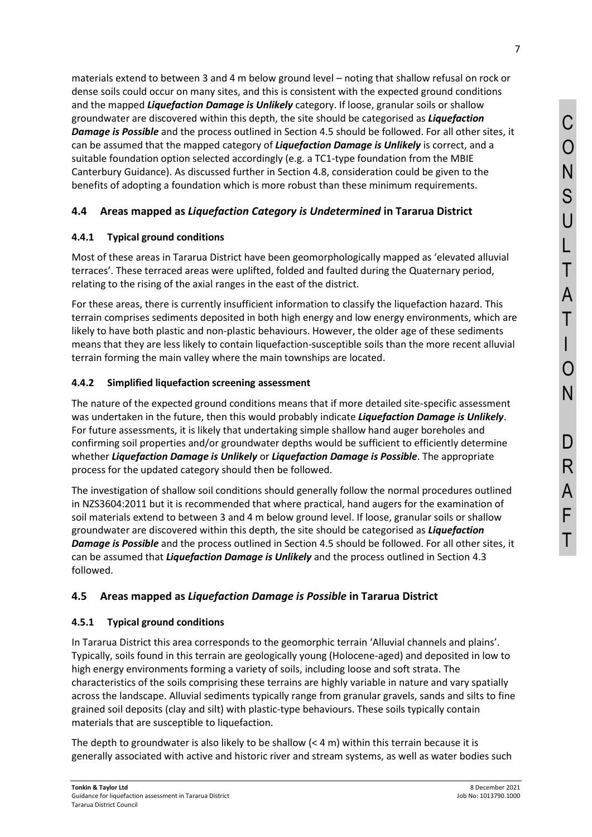materials extend to between 3 and 4 m below ground level – noting that shallow refusal on rock or dense soils could occur on many sites, and this is consistent with the expected ground conditions and the mapped *Liquefaction Damage is Unlikely* category. If loose, granular soils or shallow groundwater are discovered within this depth, the site should be categorised as *Liquefaction Damage is Possible* and the process outlined in Sectio[n 4.5](#page-6-0) should be followed. For all other sites, it can be assumed that the mapped category of *Liquefaction Damage is Unlikely* is correct, and a suitable foundation option selected accordingly (e.g. a TC1-type foundation from the MBIE Canterbury Guidance). As discussed further in Sectio[n 4.8,](#page-10-0) consideration could be given to the benefits of adopting a foundation which is more robust than these minimum requirements.

# **4.4 Areas mapped as** *Liquefaction Category is Undetermined* **in Tararua District**

## **4.4.1 Typical ground conditions**

Most of these areas in Tararua District have been geomorphologically mapped as 'elevated alluvial terraces'. These terraced areas were uplifted, folded and faulted during the Quaternary period, relating to the rising of the axial ranges in the east of the district.

For these areas, there is currently insufficient information to classify the liquefaction hazard. This terrain comprises sediments deposited in both high energy and low energy environments, which are likely to have both plastic and non-plastic behaviours. However, the older age of these sediments means that they are less likely to contain liquefaction-susceptible soils than the more recent alluvial terrain forming the main valley where the main townships are located.

### **4.4.2 Simplified liquefaction screening assessment**

The nature of the expected ground conditions means that if more detailed site-specific assessment was undertaken in the future, then this would probably indicate *Liquefaction Damage is Unlikely*. For future assessments, it is likely that undertaking simple shallow hand auger boreholes and confirming soil properties and/or groundwater depths would be sufficient to efficiently determine whether *Liquefaction Damage is Unlikely* or *Liquefaction Damage is Possible*. The appropriate process for the updated category should then be followed.

The investigation of shallow soil conditions should generally follow the normal procedures outlined in NZS3604:2011 but it is recommended that where practical, hand augers for the examination of soil materials extend to between 3 and 4 m below ground level. If loose, granular soils or shallow groundwater are discovered within this depth, the site should be categorised as *Liquefaction Damage is Possible* and the process outlined in Section [4.5](#page-6-0) should be followed. For all other sites, it can be assumed that *Liquefaction Damage is Unlikely* and the process outlined in Section [4.3](#page-5-0)  followed.

## <span id="page-6-0"></span>**4.5 Areas mapped as** *Liquefaction Damage is Possible* **in Tararua District**

#### **4.5.1 Typical ground conditions**

In Tararua District this area corresponds to the geomorphic terrain 'Alluvial channels and plains'. Typically, soils found in this terrain are geologically young (Holocene-aged) and deposited in low to high energy environments forming a variety of soils, including loose and soft strata. The characteristics of the soils comprising these terrains are highly variable in nature and vary spatially across the landscape. Alluvial sediments typically range from granular gravels, sands and silts to fine grained soil deposits (clay and silt) with plastic-type behaviours. These soils typically contain materials that are susceptible to liquefaction.

The depth to groundwater is also likely to be shallow  $(< 4 \text{ m})$  within this terrain because it is generally associated with active and historic river and stream systems, as well as water bodies such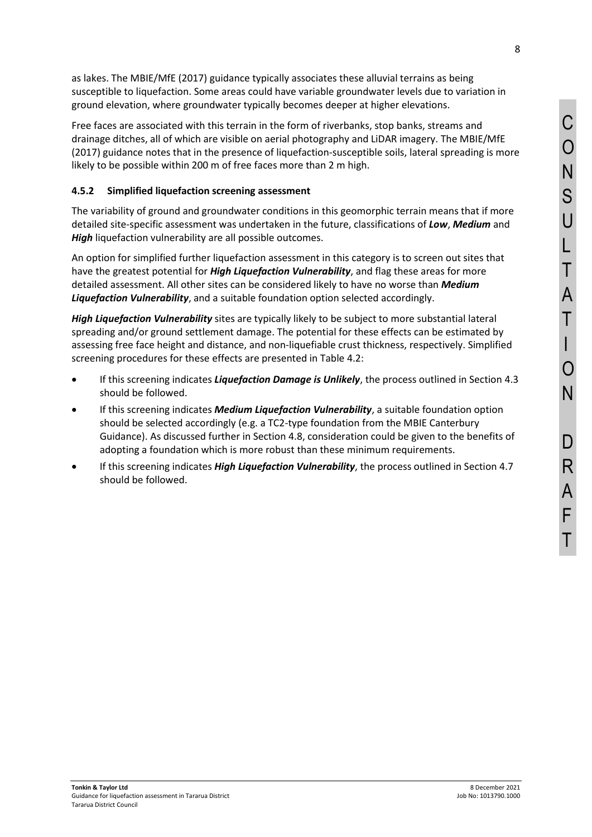8

as lakes. The MBIE/MfE (2017) guidance typically associates these alluvial terrains as being susceptible to liquefaction. Some areas could have variable groundwater levels due to variation in ground elevation, where groundwater typically becomes deeper at higher elevations.

Free faces are associated with this terrain in the form of riverbanks, stop banks, streams and drainage ditches, all of which are visible on aerial photography and LiDAR imagery. The MBIE/MfE (2017) guidance notes that in the presence of liquefaction-susceptible soils, lateral spreading is more likely to be possible within 200 m of free faces more than 2 m high.

## **4.5.2 Simplified liquefaction screening assessment**

The variability of ground and groundwater conditions in this geomorphic terrain means that if more detailed site-specific assessment was undertaken in the future, classifications of *Low*, *Medium* and *High* liquefaction vulnerability are all possible outcomes.

An option for simplified further liquefaction assessment in this category is to screen out sites that have the greatest potential for *High Liquefaction Vulnerability*, and flag these areas for more detailed assessment. All other sites can be considered likely to have no worse than *Medium Liquefaction Vulnerability*, and a suitable foundation option selected accordingly.

*High Liquefaction Vulnerability* sites are typically likely to be subject to more substantial lateral spreading and/or ground settlement damage. The potential for these effects can be estimated by assessing free face height and distance, and non-liquefiable crust thickness, respectively. Simplified screening procedures for these effects are presented in [Table 4.2:](#page-8-0)

- If this screening indicates *Liquefaction Damage is Unlikely*, the process outlined in Sectio[n 4.3](#page-5-0) should be followed.
- If this screening indicates *Medium Liquefaction Vulnerability*, a suitable foundation option should be selected accordingly (e.g. a TC2-type foundation from the MBIE Canterbury Guidance). As discussed further in Section [4.8,](#page-10-0) consideration could be given to the benefits of adopting a foundation which is more robust than these minimum requirements.
- If this screening indicates *High Liquefaction Vulnerability*, the process outlined in Section [4.7](#page-9-0) should be followed.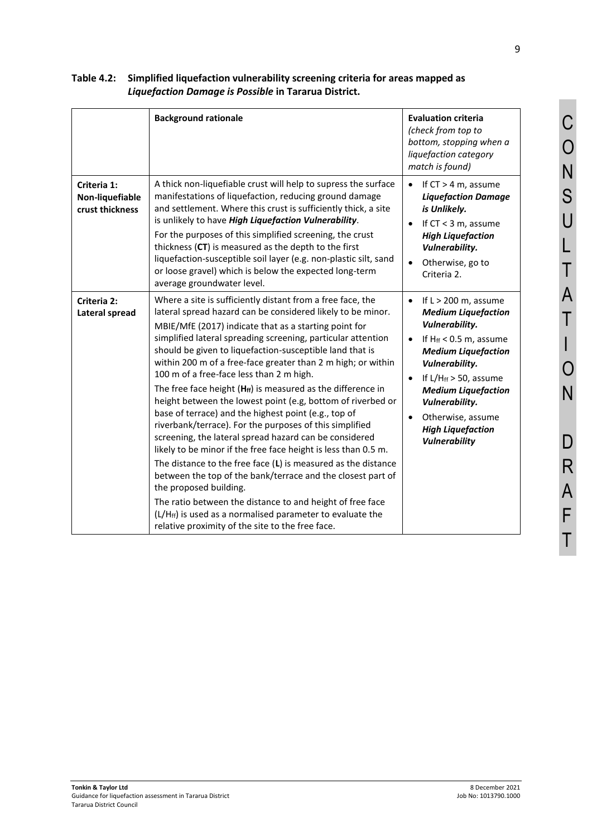# <span id="page-8-0"></span>**Table 4.2: Simplified liquefaction vulnerability screening criteria for areas mapped as** *Liquefaction Damage is Possible* **in Tararua District.**

|                                                   | <b>Background rationale</b>                                                                                                                                                                                                                                                                                                                                                                                                                                                                                                                                                                                                                                                                                                                                                                                                                                                                                                                                                                                                                                                                                                                         | <b>Evaluation criteria</b><br>(check from top to<br>bottom, stopping when a<br>liquefaction category<br>match is found)                                                                                                                                                                                                                    |
|---------------------------------------------------|-----------------------------------------------------------------------------------------------------------------------------------------------------------------------------------------------------------------------------------------------------------------------------------------------------------------------------------------------------------------------------------------------------------------------------------------------------------------------------------------------------------------------------------------------------------------------------------------------------------------------------------------------------------------------------------------------------------------------------------------------------------------------------------------------------------------------------------------------------------------------------------------------------------------------------------------------------------------------------------------------------------------------------------------------------------------------------------------------------------------------------------------------------|--------------------------------------------------------------------------------------------------------------------------------------------------------------------------------------------------------------------------------------------------------------------------------------------------------------------------------------------|
| Criteria 1:<br>Non-liquefiable<br>crust thickness | A thick non-liquefiable crust will help to supress the surface<br>manifestations of liquefaction, reducing ground damage<br>and settlement. Where this crust is sufficiently thick, a site<br>is unlikely to have High Liquefaction Vulnerability.<br>For the purposes of this simplified screening, the crust<br>thickness (CT) is measured as the depth to the first<br>liquefaction-susceptible soil layer (e.g. non-plastic silt, sand<br>or loose gravel) which is below the expected long-term<br>average groundwater level.                                                                                                                                                                                                                                                                                                                                                                                                                                                                                                                                                                                                                  | If $CT > 4$ m, assume<br><b>Liquefaction Damage</b><br>is Unlikely.<br>If $CT < 3$ m, assume<br><b>High Liquefaction</b><br>Vulnerability.<br>Otherwise, go to<br>$\bullet$<br>Criteria 2.                                                                                                                                                 |
| Criteria 2:<br><b>Lateral spread</b>              | Where a site is sufficiently distant from a free face, the<br>lateral spread hazard can be considered likely to be minor.<br>MBIE/MfE (2017) indicate that as a starting point for<br>simplified lateral spreading screening, particular attention<br>should be given to liquefaction-susceptible land that is<br>within 200 m of a free-face greater than 2 m high; or within<br>100 m of a free-face less than 2 m high.<br>The free face height $(H_f)$ is measured as the difference in<br>height between the lowest point (e.g, bottom of riverbed or<br>base of terrace) and the highest point (e.g., top of<br>riverbank/terrace). For the purposes of this simplified<br>screening, the lateral spread hazard can be considered<br>likely to be minor if the free face height is less than 0.5 m.<br>The distance to the free face (L) is measured as the distance<br>between the top of the bank/terrace and the closest part of<br>the proposed building.<br>The ratio between the distance to and height of free face<br>$(L/Hff)$ is used as a normalised parameter to evaluate the<br>relative proximity of the site to the free face. | If $L > 200$ m, assume<br>$\bullet$<br><b>Medium Liquefaction</b><br>Vulnerability.<br>If $Hff < 0.5$ m, assume<br><b>Medium Liquefaction</b><br><b>Vulnerability.</b><br>If $L/H_{ff}$ > 50, assume<br>$\bullet$<br><b>Medium Liquefaction</b><br>Vulnerability.<br>Otherwise, assume<br><b>High Liquefaction</b><br><b>Vulnerability</b> |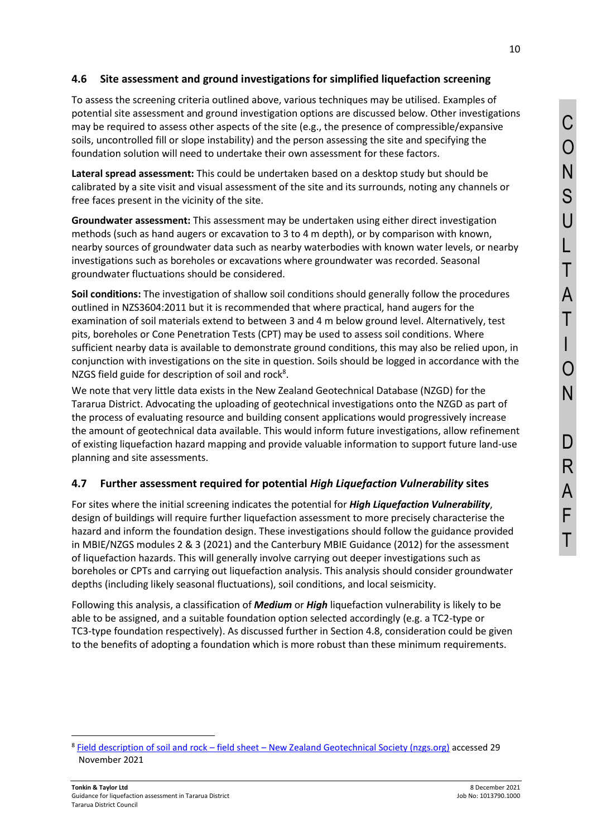### **4.6 Site assessment and ground investigations for simplified liquefaction screening**

To assess the screening criteria outlined above, various techniques may be utilised. Examples of potential site assessment and ground investigation options are discussed below. Other investigations may be required to assess other aspects of the site (e.g., the presence of compressible/expansive soils, uncontrolled fill or slope instability) and the person assessing the site and specifying the foundation solution will need to undertake their own assessment for these factors.

**Lateral spread assessment:** This could be undertaken based on a desktop study but should be calibrated by a site visit and visual assessment of the site and its surrounds, noting any channels or free faces present in the vicinity of the site.

**Groundwater assessment:** This assessment may be undertaken using either direct investigation methods (such as hand augers or excavation to 3 to 4 m depth), or by comparison with known, nearby sources of groundwater data such as nearby waterbodies with known water levels, or nearby investigations such as boreholes or excavations where groundwater was recorded. Seasonal groundwater fluctuations should be considered.

**Soil conditions:** The investigation of shallow soil conditions should generally follow the procedures outlined in NZS3604:2011 but it is recommended that where practical, hand augers for the examination of soil materials extend to between 3 and 4 m below ground level. Alternatively, test pits, boreholes or Cone Penetration Tests (CPT) may be used to assess soil conditions. Where sufficient nearby data is available to demonstrate ground conditions, this may also be relied upon, in conjunction with investigations on the site in question. Soils should be logged in accordance with the NZGS field guide for description of soil and rock<sup>8</sup>.

We note that very little data exists in the New Zealand Geotechnical Database (NZGD) for the Tararua District. Advocating the uploading of geotechnical investigations onto the NZGD as part of the process of evaluating resource and building consent applications would progressively increase the amount of geotechnical data available. This would inform future investigations, allow refinement of existing liquefaction hazard mapping and provide valuable information to support future land-use planning and site assessments.

### <span id="page-9-0"></span>**4.7 Further assessment required for potential** *High Liquefaction Vulnerability* **sites**

For sites where the initial screening indicates the potential for *High Liquefaction Vulnerability*, design of buildings will require further liquefaction assessment to more precisely characterise the hazard and inform the foundation design. These investigations should follow the guidance provided in MBIE/NZGS modules 2 & 3 (2021) and the Canterbury MBIE Guidance (2012) for the assessment of liquefaction hazards. This will generally involve carrying out deeper investigations such as boreholes or CPTs and carrying out liquefaction analysis. This analysis should consider groundwater depths (including likely seasonal fluctuations), soil conditions, and local seismicity.

Following this analysis, a classification of *Medium* or *High* liquefaction vulnerability is likely to be able to be assigned, and a suitable foundation option selected accordingly (e.g. a TC2-type or TC3-type foundation respectively). As discussed further in Section [4.8,](#page-10-0) consideration could be given to the benefits of adopting a foundation which is more robust than these minimum requirements.

<sup>&</sup>lt;sup>8</sup> Field description of soil and rock – field sheet – [New Zealand Geotechnical Society \(nzgs.org\)](https://www.nzgs.org/library/field-description-of-soil-and-rock-field-sheet/) accessed 29 November 2021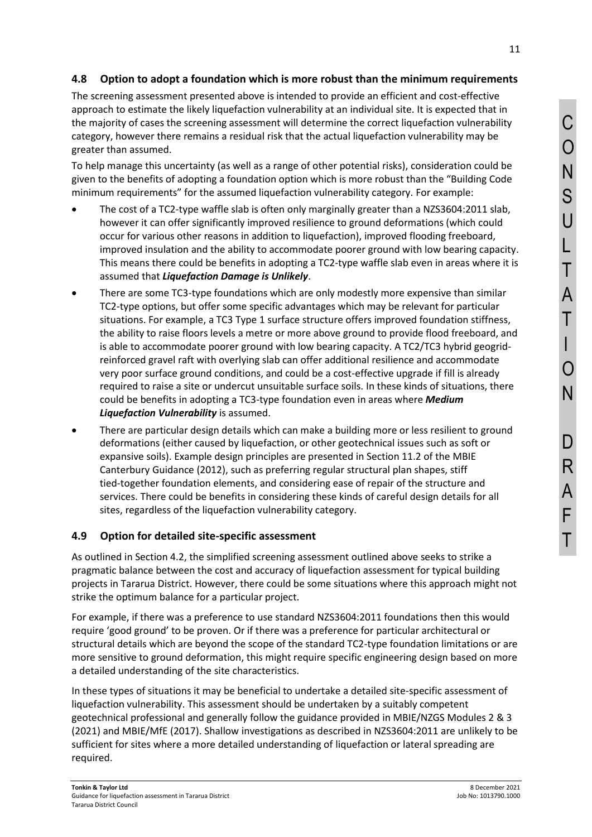# <span id="page-10-0"></span>**4.8 Option to adopt a foundation which is more robust than the minimum requirements**

The screening assessment presented above is intended to provide an efficient and cost-effective approach to estimate the likely liquefaction vulnerability at an individual site. It is expected that in the majority of cases the screening assessment will determine the correct liquefaction vulnerability category, however there remains a residual risk that the actual liquefaction vulnerability may be greater than assumed.

To help manage this uncertainty (as well as a range of other potential risks), consideration could be given to the benefits of adopting a foundation option which is more robust than the "Building Code minimum requirements" for the assumed liquefaction vulnerability category. For example:

- The cost of a TC2-type waffle slab is often only marginally greater than a NZS3604:2011 slab, however it can offer significantly improved resilience to ground deformations (which could occur for various other reasons in addition to liquefaction), improved flooding freeboard, improved insulation and the ability to accommodate poorer ground with low bearing capacity. This means there could be benefits in adopting a TC2-type waffle slab even in areas where it is assumed that *Liquefaction Damage is Unlikely*.
- There are some TC3-type foundations which are only modestly more expensive than similar TC2-type options, but offer some specific advantages which may be relevant for particular situations. For example, a TC3 Type 1 surface structure offers improved foundation stiffness, the ability to raise floors levels a metre or more above ground to provide flood freeboard, and is able to accommodate poorer ground with low bearing capacity. A TC2/TC3 hybrid geogridreinforced gravel raft with overlying slab can offer additional resilience and accommodate very poor surface ground conditions, and could be a cost-effective upgrade if fill is already required to raise a site or undercut unsuitable surface soils. In these kinds of situations, there could be benefits in adopting a TC3-type foundation even in areas where *Medium Liquefaction Vulnerability* is assumed.
- There are particular design details which can make a building more or less resilient to ground deformations (either caused by liquefaction, or other geotechnical issues such as soft or expansive soils). Example design principles are presented in Section 11.2 of the MBIE Canterbury Guidance (2012), such as preferring regular structural plan shapes, stiff tied-together foundation elements, and considering ease of repair of the structure and services. There could be benefits in considering these kinds of careful design details for all sites, regardless of the liquefaction vulnerability category.

# **4.9 Option for detailed site-specific assessment**

As outlined in Section [4.2,](#page-5-1) the simplified screening assessment outlined above seeks to strike a pragmatic balance between the cost and accuracy of liquefaction assessment for typical building projects in Tararua District. However, there could be some situations where this approach might not strike the optimum balance for a particular project.

For example, if there was a preference to use standard NZS3604:2011 foundations then this would require 'good ground' to be proven. Or if there was a preference for particular architectural or structural details which are beyond the scope of the standard TC2-type foundation limitations or are more sensitive to ground deformation, this might require specific engineering design based on more a detailed understanding of the site characteristics.

In these types of situations it may be beneficial to undertake a detailed site-specific assessment of liquefaction vulnerability. This assessment should be undertaken by a suitably competent geotechnical professional and generally follow the guidance provided in MBIE/NZGS Modules 2 & 3 (2021) and MBIE/MfE (2017). Shallow investigations as described in NZS3604:2011 are unlikely to be sufficient for sites where a more detailed understanding of liquefaction or lateral spreading are required.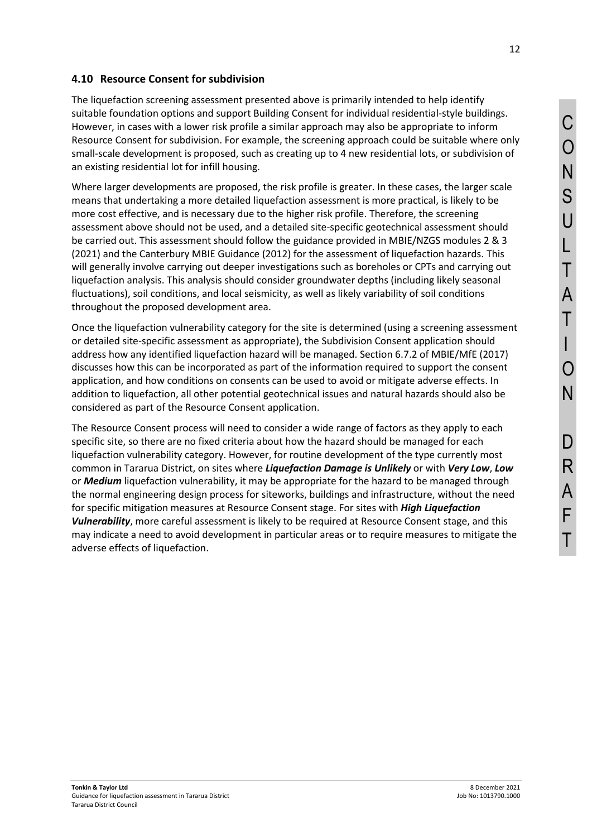#### **4.10 Resource Consent for subdivision**

The liquefaction screening assessment presented above is primarily intended to help identify suitable foundation options and support Building Consent for individual residential-style buildings. However, in cases with a lower risk profile a similar approach may also be appropriate to inform Resource Consent for subdivision. For example, the screening approach could be suitable where only small-scale development is proposed, such as creating up to 4 new residential lots, or subdivision of an existing residential lot for infill housing.

Where larger developments are proposed, the risk profile is greater. In these cases, the larger scale means that undertaking a more detailed liquefaction assessment is more practical, is likely to be more cost effective, and is necessary due to the higher risk profile. Therefore, the screening assessment above should not be used, and a detailed site-specific geotechnical assessment should be carried out. This assessment should follow the guidance provided in MBIE/NZGS modules 2 & 3 (2021) and the Canterbury MBIE Guidance (2012) for the assessment of liquefaction hazards. This will generally involve carrying out deeper investigations such as boreholes or CPTs and carrying out liquefaction analysis. This analysis should consider groundwater depths (including likely seasonal fluctuations), soil conditions, and local seismicity, as well as likely variability of soil conditions throughout the proposed development area.

Once the liquefaction vulnerability category for the site is determined (using a screening assessment or detailed site-specific assessment as appropriate), the Subdivision Consent application should address how any identified liquefaction hazard will be managed. Section 6.7.2 of MBIE/MfE (2017) discusses how this can be incorporated as part of the information required to support the consent application, and how conditions on consents can be used to avoid or mitigate adverse effects. In addition to liquefaction, all other potential geotechnical issues and natural hazards should also be considered as part of the Resource Consent application.

The Resource Consent process will need to consider a wide range of factors as they apply to each specific site, so there are no fixed criteria about how the hazard should be managed for each liquefaction vulnerability category. However, for routine development of the type currently most common in Tararua District, on sites where *Liquefaction Damage is Unlikely* or with *Very Low*, *Low* or *Medium* liquefaction vulnerability, it may be appropriate for the hazard to be managed through the normal engineering design process for siteworks, buildings and infrastructure, without the need for specific mitigation measures at Resource Consent stage. For sites with *High Liquefaction Vulnerability*, more careful assessment is likely to be required at Resource Consent stage, and this may indicate a need to avoid development in particular areas or to require measures to mitigate the adverse effects of liquefaction.